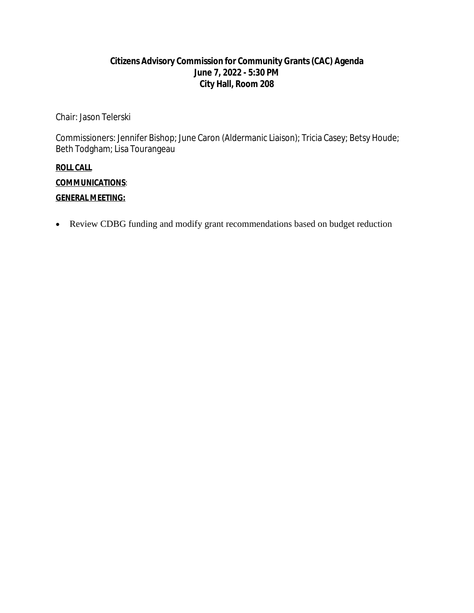### **Citizens Advisory Commission for Community Grants(CAC) Agenda June 7, 2022 - 5:30 PM City Hall, Room 208**

Chair: Jason Telerski

Commissioners: Jennifer Bishop; June Caron (Aldermanic Liaison); Tricia Casey; Betsy Houde; Beth Todgham; Lisa Tourangeau

### **ROLL CALL**

**COMMUNICATIONS**:

### **GENERAL MEETING:**

Review CDBG funding and modify grant recommendations based on budget reduction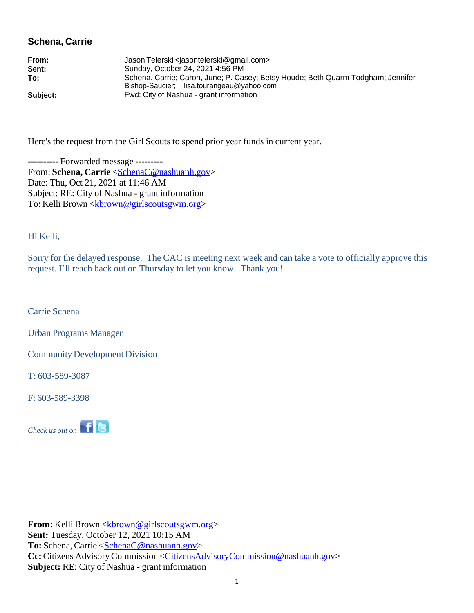### **Schena, Carrie**

| From:    | Jason Telerski <jasontelerski@gmail.com></jasontelerski@gmail.com>                                                            |
|----------|-------------------------------------------------------------------------------------------------------------------------------|
| Sent:    | Sunday, October 24, 2021 4:56 PM                                                                                              |
| To:      | Schena, Carrie; Caron, June; P. Casey; Betsy Houde; Beth Quarm Todgham; Jennifer<br>Bishop-Saucier; lisa.tourangeau@yahoo.com |
| Subject: | Fwd: City of Nashua - grant information                                                                                       |

Here's the request from the Girl Scouts to spend prior year funds in current year.

---------- Forwarded message --------- From: **Schena, Carrie** <[SchenaC@nashuanh.gov>](mailto:SchenaC@nashuanh.gov) Date: Thu, Oct 21, 2021 at 11:46 AM Subject: RE: City of Nashua - grant information To: Kelli Brown < <u>kbrown@girlscoutsgwm.org</u>>

Hi Kelli,

Sorry for the delayed response. The CAC is meeting next week and can take a vote to officially approve this request. I'll reach back out on Thursday to let you know. Thank you!

Carrie Schena

Urban Programs Manager

Community Development Division

T: 603-589-3087

F: 603-589-3398



**From:** Kelli Brown [<kbrown@girlscoutsgwm.org>](mailto:kbrown@girlscoutsgwm.org) **Sent:** Tuesday, October 12, 2021 10:15 AM **To:** Schena, Carrie [<SchenaC@nashuanh.gov](mailto:SchenaC@nashuanh.gov)> **Cc:**Citizens AdvisoryCommission <[CitizensAdvisoryCommission@nashuanh.gov>](mailto:CitizensAdvisoryCommission@nashuanh.gov) **Subject:** RE: City of Nashua - grant information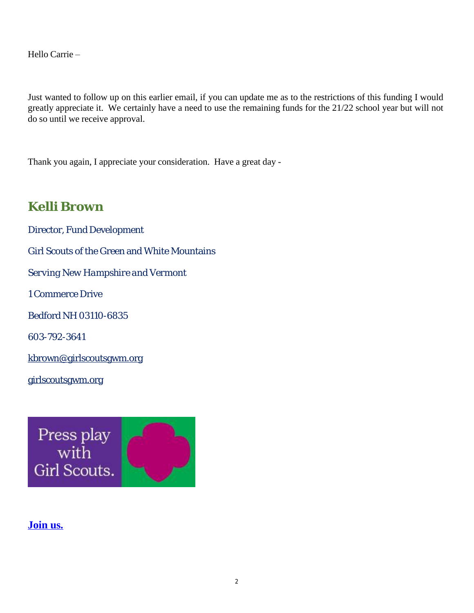Hello Carrie –

Just wanted to follow up on this earlier email, if you can update me as to the restrictions of this funding I would greatly appreciate it. We certainly have a need to use the remaining funds for the 21/22 school year but will not do so until we receive approval.

Thank you again, I appreciate your consideration. Have a great day -

# **Kelli Brown**

Director, Fund Development Girl Scouts of the Green and White Mountains *Serving New Hampshire and Vermont* 1 Commerce Drive Bedford NH 03110-6835 603-792-3641 [kbrown@girlscoutsgwm.org](mailto:kbrown@girlscoutsgwm.org) girlscoutsgwm.org



**Join us.**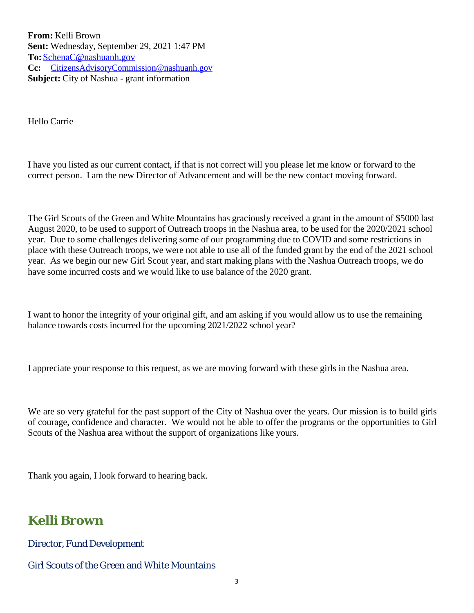**From:** Kelli Brown **Sent:** Wednesday, September 29, 2021 1:47 PM **To:**[SchenaC@nashuanh.gov](mailto:SchenaC@nashuanh.gov) **Cc:** [CitizensAdvisoryCommission@nashuanh.gov](mailto:CitizensAdvisoryCommission@nashuanh.gov) **Subject:** City of Nashua - grant information

Hello Carrie –

I have you listed as our current contact, if that is not correct will you please let me know or forward to the correct person. I am the new Director of Advancement and will be the new contact moving forward.

The Girl Scouts of the Green and White Mountains has graciously received a grant in the amount of \$5000 last August 2020, to be used to support of Outreach troops in the Nashua area, to be used for the 2020/2021 school year. Due to some challenges delivering some of our programming due to COVID and some restrictions in place with these Outreach troops, we were not able to use all of the funded grant by the end of the 2021 school year. As we begin our new Girl Scout year, and start making plans with the Nashua Outreach troops, we do have some incurred costs and we would like to use balance of the 2020 grant.

I want to honor the integrity of your original gift, and am asking if you would allow us to use the remaining balance towards costs incurred for the upcoming 2021/2022 school year?

I appreciate your response to this request, as we are moving forward with these girls in the Nashua area.

We are so very grateful for the past support of the City of Nashua over the years. Our mission is to build girls of courage, confidence and character. We would not be able to offer the programs or the opportunities to Girl Scouts of the Nashua area without the support of organizations like yours.

Thank you again, I look forward to hearing back.

# **Kelli Brown**

Director, Fund Development

Girl Scouts of the Green and White Mountains